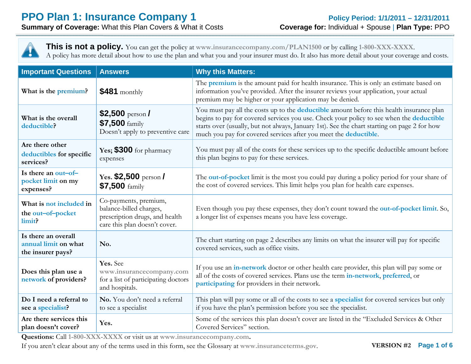**Summary of Coverage:** What this Plan Covers & What it Costs **Coverage for:** Individual + Spouse | **Plan Type:** PPO

**This is not a policy.** You can get the policy at **www.insurancecompany.com/PLAN1500** or by calling **1-800-XXX-XXXX**. A policy has more detail about how to use the plan and what you and your insurer must do. It also has more detail about your coverage and costs.

| <b>Important Questions</b>                                       | <b>Answers</b>                                                                                                      | <b>Why this Matters:</b>                                                                                                                                                                                                                                                                                                                                                |  |
|------------------------------------------------------------------|---------------------------------------------------------------------------------------------------------------------|-------------------------------------------------------------------------------------------------------------------------------------------------------------------------------------------------------------------------------------------------------------------------------------------------------------------------------------------------------------------------|--|
| What is the premium?                                             | $$481$ monthly                                                                                                      | The <b>premium</b> is the amount paid for health insurance. This is only an estimate based on<br>information you've provided. After the insurer reviews your application, your actual<br>premium may be higher or your application may be denied.                                                                                                                       |  |
| What is the overall<br>deductible?                               | \$2,500 person $I$<br>\$7,500 family<br>Doesn't apply to preventive care                                            | You must pay all the costs up to the deductible amount before this health insurance plan<br>begins to pay for covered services you use. Check your policy to see when the <b>deductible</b><br>starts over (usually, but not always, January 1st). See the chart starting on page 2 for how<br>much you pay for covered services after you meet the <b>deductible</b> . |  |
| Are there other<br>deductibles for specific<br>services?         | Yes; \$300 for pharmacy<br>expenses                                                                                 | You must pay all of the costs for these services up to the specific deductible amount before<br>this plan begins to pay for these services.                                                                                                                                                                                                                             |  |
| Is there an out-of-<br>pocket limit on my<br>expenses?           | Yes. $$2,500$ person/<br>\$7,500 family                                                                             | The out-of-pocket limit is the most you could pay during a policy period for your share of<br>the cost of covered services. This limit helps you plan for health care expenses.                                                                                                                                                                                         |  |
| What is not included in<br>the out-of-pocket<br>limit?           | Co-payments, premium,<br>balance-billed charges,<br>prescription drugs, and health<br>care this plan doesn't cover. | Even though you pay these expenses, they don't count toward the out-of-pocket limit. So,<br>a longer list of expenses means you have less coverage.                                                                                                                                                                                                                     |  |
| Is there an overall<br>annual limit on what<br>the insurer pays? | No.                                                                                                                 | The chart starting on page 2 describes any limits on what the insurer will pay for specific<br>covered services, such as office visits.                                                                                                                                                                                                                                 |  |
| Does this plan use a<br>network of providers?                    | Yes. See<br>www.insurancecompany.com<br>for a list of participating doctors<br>and hospitals.                       | If you use an in-network doctor or other health care provider, this plan will pay some or<br>all of the costs of covered services. Plans use the term in-network, preferred, or<br>participating for providers in their network.                                                                                                                                        |  |
| Do I need a referral to<br>see a specialist?                     | No. You don't need a referral<br>to see a specialist                                                                | This plan will pay some or all of the costs to see a <b>specialist</b> for covered services but only<br>if you have the plan's permission before you see the specialist.                                                                                                                                                                                                |  |
| Are there services this<br>plan doesn't cover?                   | Yes.                                                                                                                | Some of the services this plan doesn't cover are listed in the "Excluded Services & Other<br>Covered Services" section.                                                                                                                                                                                                                                                 |  |

**Questions:** Call **1-800-XXX-XXXX** or visit us at **www.insurancecompany.com.**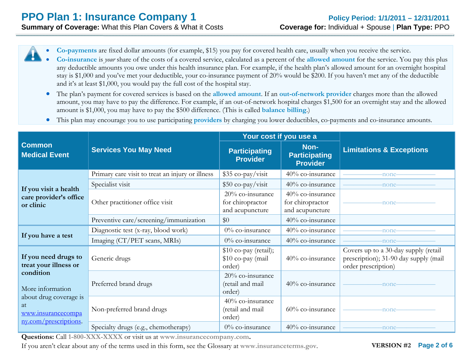0

0 **Co-payments** are fixed dollar amounts (for example, \$15) you pay for covered health care, usually when you receive the service.

- **Co-insurance** is *your* share of the costs of a covered service, calculated as a percent of the **allowed amount** for the service. You pay this plus any deductible amounts you owe under this health insurance plan. For example, if the health plan's allowed amount for an overnight hospital stay is \$1,000 and you've met your deductible, your co-insurance payment of 20% would be \$200. If you haven't met any of the deductible and it's at least \$1,000, you would pay the full cost of the hospital stay.
- The plan's payment for covered services is based on the **allowed amount**. If an **out-of-network provider** charges more than the allowed amount, you may have to pay the difference. For example, if an out-of-network hospital charges \$1,500 for an overnight stay and the allowed amount is \$1,000, you may have to pay the \$500 difference. (This is called **balance billing**.)
- $\bullet$ This plan may encourage you to use participating **providers** by charging you lower deductibles, co-payments and co-insurance amounts.

|                                                                                   |                                                  | Your cost if you use a                                     |                                                            | <b>Limitations &amp; Exceptions</b>                                                                  |
|-----------------------------------------------------------------------------------|--------------------------------------------------|------------------------------------------------------------|------------------------------------------------------------|------------------------------------------------------------------------------------------------------|
| <b>Common</b><br><b>Medical Event</b>                                             | <b>Services You May Need</b>                     | <b>Participating</b><br><b>Provider</b>                    | Non-<br><b>Participating</b><br><b>Provider</b>            |                                                                                                      |
|                                                                                   | Primary care visit to treat an injury or illness | $$35 co-pay/visit$                                         | 40% co-insurance                                           | -none-                                                                                               |
| If you visit a health                                                             | Specialist visit                                 | $$50 co-pay/visit$                                         | 40% co-insurance                                           | -none-                                                                                               |
| care provider's office<br>or clinic                                               | Other practitioner office visit                  | $20\%$ co-insurance<br>for chiropractor<br>and acupuncture | $40\%$ co-insurance<br>for chiropractor<br>and acupuncture | -none                                                                                                |
|                                                                                   | Preventive care/screening/immunization           | \$0                                                        | 40% co-insurance                                           |                                                                                                      |
|                                                                                   | Diagnostic test (x-ray, blood work)              | $0\%$ co-insurance                                         | 40% co-insurance                                           | -none-                                                                                               |
| If you have a test                                                                | Imaging (CT/PET scans, MRIs)                     | $0\%$ co-insurance                                         | 40% co-insurance                                           | -none                                                                                                |
| If you need drugs to<br>treat your illness or                                     | Generic drugs                                    | $$10$ co-pay (retail);<br>\$10 co-pay (mail<br>order)      | 40% co-insurance                                           | Covers up to a 30-day supply (retail<br>prescription); 31-90 day supply (mail<br>order prescription) |
| condition<br>More information                                                     | Preferred brand drugs                            | 20% co-insurance<br>(retail and mail<br>order)             | 40% co-insurance                                           | -none-                                                                                               |
| about drug coverage is<br>at<br>www.insurancecompa<br><u>ny.com/prescriptions</u> | Non-preferred brand drugs                        | $40\%$ co-insurance<br>(retail and mail<br>order)          | $60\%$ co-insurance                                        | -none-                                                                                               |
|                                                                                   | Specialty drugs (e.g., chemotherapy)             | $0\%$ co-insurance                                         | 40% co-insurance                                           | -none-                                                                                               |

**Questions:** Call **1-800-XXX-XXXX** or visit us at **www.insurancecompany.com.**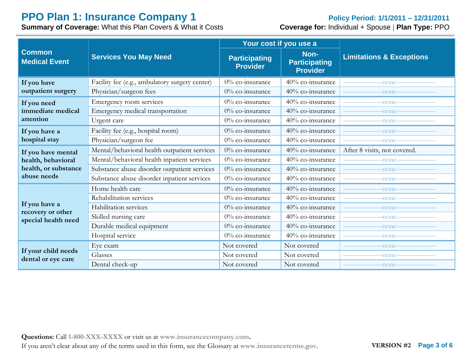# **PPO Plan 1: Insurance Company 1 PPO Plan 1: Insurance Company 1 Period: 1/1/2011 – 12/31/2011**<br> **Summary of Coverage:** What this Plan Covers & What it Costs **Coverage for:** Individual + Spouse | Plan Type: PPO

**Summary of Coverage: What this Plan Covers & What it Costs** 

|                                           |                                                | Your cost if you use a                  |                                                 |                                     |
|-------------------------------------------|------------------------------------------------|-----------------------------------------|-------------------------------------------------|-------------------------------------|
| <b>Common</b><br><b>Medical Event</b>     | <b>Services You May Need</b>                   | <b>Participating</b><br><b>Provider</b> | Non-<br><b>Participating</b><br><b>Provider</b> | <b>Limitations &amp; Exceptions</b> |
| If you have                               | Facility fee (e.g., ambulatory surgery center) | 0% co-insurance                         | 40% co-insurance                                | -none-                              |
| outpatient surgery                        | Physician/surgeon fees                         | 0% co-insurance                         | 40% co-insurance                                | -none-                              |
| If you need                               | Emergency room services                        | 0% co-insurance                         | 40% co-insurance                                | -none-                              |
| immediate medical                         | Emergency medical transportation               | 0% co-insurance                         | 40% co-insurance                                | -none-                              |
| attention                                 | Urgent care                                    | 0% co-insurance                         | 40% co-insurance                                | -none-                              |
| If you have a                             | Facility fee (e.g., hospital room)             | 0% co-insurance                         | 40% co-insurance                                | -none-                              |
| hospital stay                             | Physician/surgeon fee                          | $0\%$ co-insurance                      | 40% co-insurance                                | -none-                              |
| If you have mental                        | Mental/behavioral health outpatient services   | $0\%$ co-insurance                      | 40% co-insurance                                | After 8 visits, not covered.        |
| health, behavioral                        | Mental/behavioral health inpatient services    | $0\%$ co-insurance                      | 40% co-insurance                                | -none-                              |
| health, or substance                      | Substance abuse disorder outpatient services   | $0\%$ co-insurance                      | $40\%$ co-insurance                             | -none-                              |
| abuse needs                               | Substance abuse disorder inpatient services    | 0% co-insurance                         | 40% co-insurance                                | -none-                              |
|                                           | Home health care                               | $0\%$ co-insurance                      | 40% co-insurance                                | -none-                              |
|                                           | Rehabilitation services                        | $0\%$ co-insurance                      | 40% co-insurance                                | -none-                              |
| If you have a<br>recovery or other        | Habilitation services                          | $0\%$ co-insurance                      | 40% co-insurance                                | -none-                              |
| special health need                       | Skilled nursing care                           | $0\%$ co-insurance                      | $40\%$ co-insurance                             | -none-                              |
|                                           | Durable medical equipment                      | $0\%$ co-insurance                      | 40% co-insurance                                | -none-                              |
|                                           | Hospital service                               | $0\%$ co-insurance                      | 40% co-insurance                                | -none-                              |
|                                           | Eye exam                                       | Not covered                             | Not covered                                     | -none-                              |
| If your child needs<br>dental or eye care | Glasses                                        | Not covered                             | Not covered                                     | -none-                              |
|                                           | Dental check-up                                | Not covered                             | Not covered                                     | -none-                              |

**Questions:** Call **1-800-XXX-XXXX** or visit us at **www.insurancecompany.com.**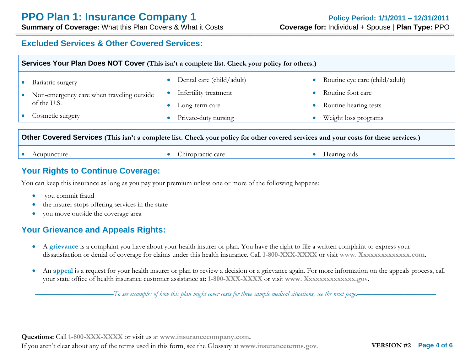### **Excluded Services & Other Covered Services:**

|                                                                                                                                      | <b>Services Your Plan Does NOT Cover</b> (This isn't a complete list. Check your policy for others.) |                        |                                                                      |           |                                                                              |  |
|--------------------------------------------------------------------------------------------------------------------------------------|------------------------------------------------------------------------------------------------------|------------------------|----------------------------------------------------------------------|-----------|------------------------------------------------------------------------------|--|
| $\bullet$                                                                                                                            | Bariatric surgery<br>Non-emergency care when traveling outside<br>of the U.S.                        | $\bullet$<br>$\bullet$ | Dental care (child/adult)<br>Infertility treatment<br>Long-term care | $\bullet$ | Routine eye care (child/adult)<br>Routine foot care<br>Routine hearing tests |  |
|                                                                                                                                      | Cosmetic surgery                                                                                     | $\bullet$              | Private-duty nursing                                                 |           | Weight loss programs                                                         |  |
| Other Covered Services (This isn't a complete list. Check your policy for other covered services and your costs for these services.) |                                                                                                      |                        |                                                                      |           |                                                                              |  |
|                                                                                                                                      | Acupuncture                                                                                          |                        | Chiropractic care                                                    |           | Hearing aids                                                                 |  |

### **Your Rights to Continue Coverage:**

You can keep this insurance as long as you pay your premium unless one or more of the following happens:

- $\bullet$ you commit fraud
- $\bullet$ the insurer stops offering services in the state
- you move outside the coverage area

### **Your Grievance and Appeals Rights:**

- A **grievance** is a complaint you have about your health insurer or plan. You have the right to file a written complaint to express your dissatisfaction or denial of coverage for claims under this health insurance. Call **1-800-XXX-XXXX** or visit **www. Xxxxxxxxxxxxxx.com**.
- $\bullet$ An **appeal** is a request for your health insurer or plan to review a decision or a grievance again. For more information on the appeals process, call your state office of health insurance customer assistance at: **1-800-XXX-XXXX** or visit **www. Xxxxxxxxxxxxxx.gov**.

––––––––––––––––––––––*To see examples of how this plan might cover costs for three sample medical situations, see the next page.–––––––––––*–––––––––––

**Questions:** Call **1-800-XXX-XXXX** or visit us at **www.insurancecompany.com.**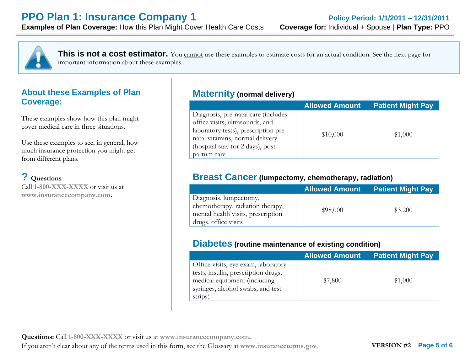

**This is not a cost estimator.** You cannot use these examples to estimate costs for an actual condition. See the next page for important information about these examples.

### **About these Examples of Plan Coverage:**

These examples show how this plan might cover medical care in three situations.

Use these examples to see, in general, how much insurance protection you might get from different plans.

### **? Questions**

Call **1-800-XXX-XXXX** or visit us at **www.insurancecompany.com.**

### **Maternity (normal delivery)**

|                                                                                                                                                                                                       | <b>Allowed Amount</b> | <b>Patient Might Pay</b> |
|-------------------------------------------------------------------------------------------------------------------------------------------------------------------------------------------------------|-----------------------|--------------------------|
| Diagnosis, pre-natal care (includes<br>office visits, ultrasounds, and<br>laboratory tests), prescription pre-<br>natal vitamins, normal delivery<br>(hospital stay for 2 days), post-<br>partum care | \$10,000              | \$1,000                  |

### **Breast Cancer (lumpectomy, chemotherapy, radiation)**

|                                                                                                                          | <b>Allowed Amount</b> | <b>Patient Might Pay</b> |
|--------------------------------------------------------------------------------------------------------------------------|-----------------------|--------------------------|
| Diagnosis, lumpectomy,<br>chemotherapy, radiation therapy,<br>mental health visits, prescription<br>drugs, office visits | \$98,000              | \$3,200                  |

### **Diabetes (routine maintenance of existing condition)**

|                                                                                                                                                            | <b>Allowed Amount</b> | <b>Patient Might Pay</b> |
|------------------------------------------------------------------------------------------------------------------------------------------------------------|-----------------------|--------------------------|
| Office visits, eye exam, laboratory<br>tests, insulin, prescription drugs,<br>medical equipment (including<br>syringes, alcohol swabs, and test<br>strips) | \$7,800               | \$1,000                  |

**Questions:** Call **1-800-XXX-XXXX** or visit us at **www.insurancecompany.com.**